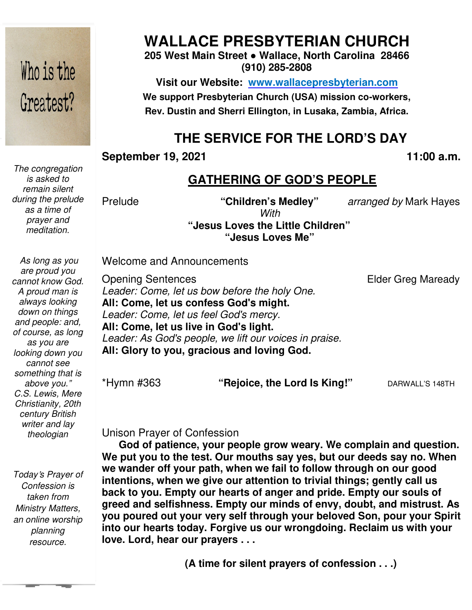# Who is the Greatest?

*The congregation is asked to remain silent during the prelude as a time of prayer and meditation.* 

 *As long as you are proud you cannot know God. A proud man is always looking down on things and people: and, of course, as long as you are looking down you cannot see something that is above you." C.S. Lewis, Mere Christianity, 20th century British writer and lay theologian* 

*Today*'*s Prayer of Confession is taken from Ministry Matters, an online worship planning resource.* 

# **WALLACE PRESBYTERIAN CHURCH**

**205 West Main Street ● Wallace, North Carolina 28466 (910) 285-2808** 

**Visit our Website: www.wallacepresbyterian.com** We support Presbyterian Church (USA) mission co-workers, **Rev. Dustin and Sherri Ellington, in Lusaka, Zambia, Africa. Sherri Ellington,** 

# **THE SERVICE FOR THE LORD'S DAY**

#### **September 19, 2021**

**, 11:00 a.m**

#### **GATHERING OF GOD'S PEOPLE**

Prelude

**"Children's Medley"** *arranged by* Mark Hayes Hayes

**Elder Greg Maready** 

**"Jesus Loves the Little Children" Jesus "Jesus Loves Me"**  *With* 

Welcome and Announcements and Announcements

Opening Sentences *Leader: Come, let us bow before the holy One.* **All: Come, let us confess God's might.**  *Leader: Come, let us feel God's mercy.* **All: Come, let us live in God's light. live** Leader: As God's people, we lift our voices in praise. All: Glory to you, gracious and loving God.

\*Hymn #363

**"Rejoice, the Lord Is King!"** DARWALL'S 148TH

#### Unison Prayer of Confession Unison Prayer of

**God of patience, your people grow weary. We complain and question. We put you to the test. Our mouths say yes, but our deeds say no. When we wander off your path, when we fail to follow through on our good intentions, when we give our attention to trivial things; gently call us back to you. Empty our hearts of anger and pride. Empty our souls of greed and selfishness. Empty our minds of envy, d you poured out your very self through your beloved Son, pour your Spirit into our hearts today. Forgive us our wrongdoing. Reclaim us with your love. Lord, hear our prayers . . .** God of patience, your people grow weary. We complain and question.<br>We put you to the test. Our mouths say yes, but our deeds say no. When<br>we wander off your path, when we fail to follow through on our good<br>intentions, when 11:00 a.m.<br> **politically** (CATHERING OF GOD'S PEOPLE<br>
ude<br>
with the children's Medley" arranged by Mark Hayes<br>
"Jesus Loves Me"<br>
"Lesus Loves Me"<br>
"Lesus Loves Me"<br>
Fig. Come, let us bow before the holy One.<br>
Eder Greg Mar

**(A time for silent prayers of confession . . .)**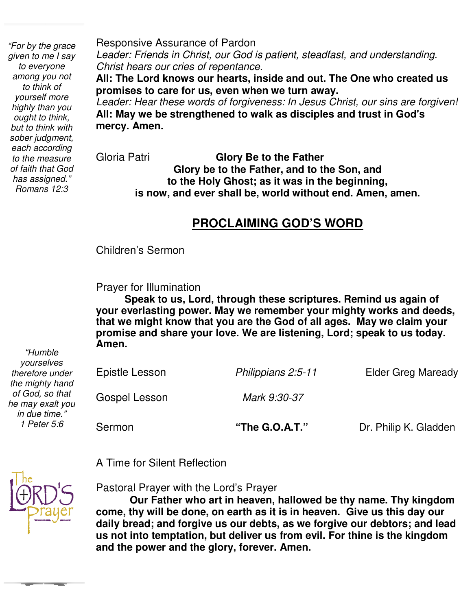*"For by the grace given to me I say to everyone among you not to think of yourself more highly than you ought to think, but to think with sober judgment, each according to the measure of faith that God has assigned." Romans 12:3* 

Responsive Assurance of Pardon *Leader: Friends in Christ, our God is patient, steadfast, and understanding. Christ hears our cries of repentance.* 

**All: The Lord knows our hearts, inside and out. The One who created us promises to care for us, even when we turn away.** 

*Leader: Hear these words of forgiveness: In Jesus Christ, our sins are forgiven!*  **All: May we be strengthened to walk as disciples and trust in God's mercy. Amen.** 

Gloria Patri **Glory Be to the Father Glory be to the Father, and to the Son, and to the Holy Ghost; as it was in the beginning, is now, and ever shall be, world without end. Amen, amen.** 

#### **PROCLAIMING GOD'S WORD**

 Children's Sermon

Prayer for Illumination

 **Speak to us, Lord, through these scriptures. Remind us again of your everlasting power. May we remember your mighty works and deeds, that we might know that you are the God of all ages. May we claim your promise and share your love. We are listening, Lord; speak to us today. Amen.**

*"Humble yourselves therefore under the mighty hand of God, so that he may exalt you in due time." 1 Peter 5:6* 

Epistle Lesson *Philippians 2:5-11* Elder Greg Maready Gospel Lesson *Mark 9:30-37* Sermon **The G.O.A.T.**" Dr. Philip K. Gladden

A Time for Silent Reflection

Pastoral Prayer with the Lord's Prayer

**Our Father who art in heaven, hallowed be thy name. Thy kingdom come, thy will be done, on earth as it is in heaven. Give us this day our daily bread; and forgive us our debts, as we forgive our debtors; and lead us not into temptation, but deliver us from evil. For thine is the kingdom and the power and the glory, forever. Amen.**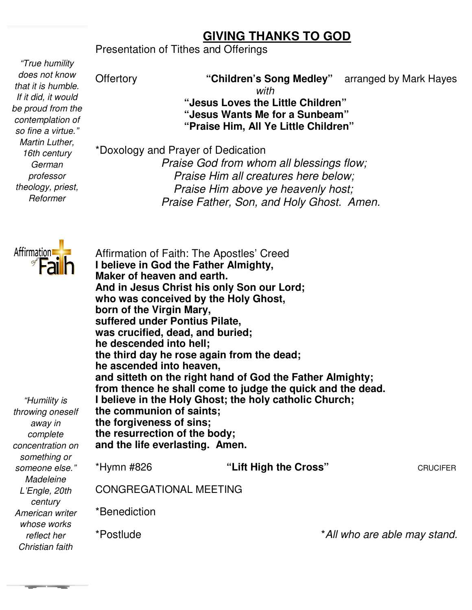#### **GIVING THANKS TO GOD**

Presentation of Tithes and Offerings

*"True humility does not know that it is humble. If it did, it would be proud from the contemplation of so fine a virtue." Martin Luther, 16th century German professor theology, priest, Reformer* 

**Offertory "Children's Song Medley" Medley"** arranged by Mark Hayes *with* 

 **"Jesus Loves the Little Children" "Jesus Wants Me for a Sunbeam" Jesus Jesus "Praise Him, All Ye Little Children"**

\*Doxology and Prayer of Dedication  *Praise God from whom all blessings flow; Praise Him all creatures here below; Praise Him above ye heavenly host; Praise Father, Son, and Father, Son, and Holy Ghost. Amen.* 



Affirmation of Faith: The Apostles' Creed **I believe in God the Father Almighty, Maker of heaven and earth. And in Jesus Christ his only Son our Lord; who was conceived by the Holy Ghost, born of the Virgin Mary, suffered under Pontius Pilate, was crucified, dead, and buried; he descended into hell;**  the third day he rose again from the dead; **he ascended into heaven,** he ascended into heaven,<br>and sitteth on the right hand of God the Father Almighty; **from thence he shall come to judge the quick and the dead. shall the dead. I believe in the Holy Ghost; the Ghost; the holy catholic Church; the communion of saints; saints; the forgiveness of sins; the resurrection of the body; of body; and the life everlasting. Amen.**  \*Hymn #826 CONGREGATIONAL MEETING MEETING\*Benediction \*Postlude *"Humility is throwing oneself away in complete concentration on something or someone else." Madeleine L'Engle, 20th century American writer whose works reflect her Christian faith*  heaven and earth.<br><sub>!</sub>sus Christ his only Son our Lord;<br>conceived by the Holy Ghost, "Lift High the Cross" **CRUCIFER** \**All who are able may stand .*